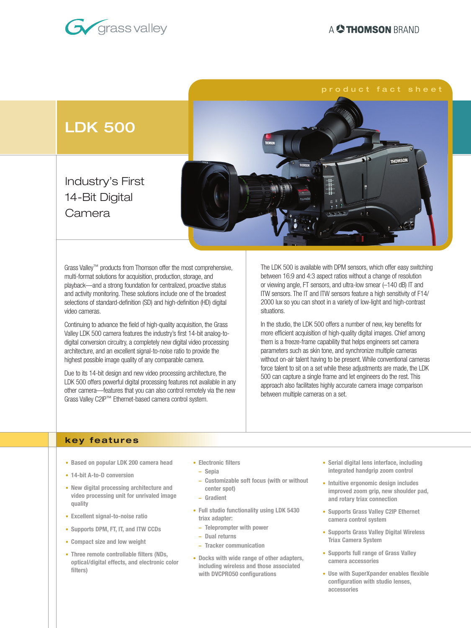



Grass Valley™ products from Thomson offer the most comprehensive, multi-format solutions for acquisition, production, storage, and playback—and a strong foundation for centralized, proactive status and activity monitoring. These solutions include one of the broadest selections of standard-definition (SD) and high-definition (HD) digital video cameras.

Continuing to advance the field of high-quality acquisition, the Grass Valley LDK 500 camera features the industry's first 14-bit analog-todigital conversion circuitry, a completely new digital video processing architecture, and an excellent signal-to-noise ratio to provide the highest possible image quality of any comparable camera.

Due to its 14-bit design and new video processing architecture, the LDK 500 offers powerful digital processing features not available in any other camera—features that you can also control remotely via the new Grass Valley C2IP™ Ethernet-based camera control system.

The LDK 500 is available with DPM sensors, which offer easy switching between 16:9 and 4:3 aspect ratios without a change of resolution or viewing angle, FT sensors, and ultra-low smear (–140 dB) IT and ITW sensors. The IT and ITW sensors feature a high sensitivity of F14/ 2000 lux so you can shoot in a variety of low-light and high-contrast situations.

In the studio, the LDK 500 offers a number of new, key benefits for more efficient acquisition of high-quality digital images. Chief among them is a freeze-frame capability that helps engineers set camera parameters such as skin tone, and synchronize multiple cameras without on-air talent having to be present. While conventional cameras force talent to sit on a set while these adjustments are made, the LDK 500 can capture a single frame and let engineers do the rest. This approach also facilitates highly accurate camera image comparison between multiple cameras on a set.

## **key features**

- **• Based on popular LDK 200 camera head**
- **• 14-bit A-to-D conversion**
- **• New digital processing architecture and video processing unit for unrivaled image quality**
- **• Excellent signal-to-noise ratio**
- **• Supports DPM, FT, IT, and ITW CCDs**
- **• Compact size and low weight**
- **• Three remote controllable filters (NDs, optical/digital effects, and electronic color filters)**
- **• Electronic filters**
- **– Sepia**
- **– Customizable soft focus (with or without center spot)**
- **– Gradient**
- **• Full studio functionality using LDK 5430 triax adapter:**
- **– Teleprompter with power**
- **– Dual returns**
- **– Tracker communication**
- **• Docks with wide range of other adapters, including wireless and those associated with DVCPRO50 configurations**
- **• Serial digital lens interface, including integrated handgrip zoom control**
- **• Intuitive ergonomic design includes improved zoom grip, new shoulder pad, and rotary triax connection**
- **• Supports Grass Valley C2IP Ethernet camera control system**
- **• Supports Grass Valley Digital Wireless Triax Camera System**
- **• Supports full range of Grass Valley camera accessories**
- **• Use with SuperXpander enables flexible configuration with studio lenses, accessories**